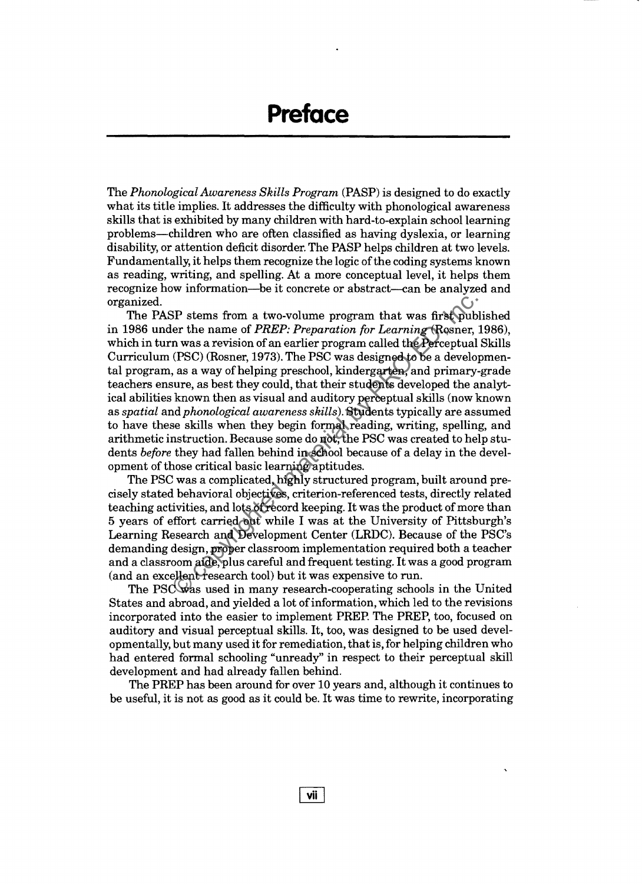The *Phonological Awareness Skills Program* (PASP) is designed to do exactly what its title implies. It addresses the difficulty with phonological awareness skills that is exhibited by many children with hard-to-explain school learning problems-children who are often classified as having dyslexia, or learning disability, or attention deficit disorder. The PASP helps children at two levels. Fundamentally, it helps them recognize the logic of the coding systems known as reading, writing, and spelling. At a more conceptual level, it helps them recognize how information-be it concrete or abstract-can be analyzed and organized.

The PASP stems from a two-volume program that was first published in 1986 under the name of *PREP: Preparation for Learning* (Rosner, 1986), which in turn was a revision of an earlier program called the Perceptual Skills Curriculum (PSC) (Rosner, 1973). The PSC was designed to be a developmental program, as a way of helping preschool, kindergarten, and primary-grade teachers ensure, as best they could, that their students developed the analytical abilities known then as visual and auditory perceptual skills (now known as *spatial* and *phonological awareness skills).* Students typically are assumed to have these skills when they begin formal reading, writing, spelling, and arithmetic instruction. Because some do not, the PSC was created to help students *before* they had fallen behind in school because of a delay in the development of those critical basic learning aptitudes. SP stems from a two-volume program that was first publer the name of  $PREF$ . Preparation for Learning Rosner, n was a revision of an earlier program called the Perceptual (PSC) (Rosner, 1973). The PSC was designed to be a d

The PSC was a complicated, highly structured program, built around precisely stated behavioral objectives, criterion-referenced tests, directly related teaching activities, and lots of record keeping. It was the product of more than 5 years of effort carried out while I was at the University of Pittsburgh's Learning Research and Development Center (LRDC). Because of the PSC's demanding design, proper classroom implementation required both a teacher and a classroom aide, plus careful and frequent testing. It was a good program (and an excellent research tool) but it was expensive to run.

The PSC was used in many research-cooperating schools in the United States and abroad, and yielded a lot ofinformation, which led to the revisions incorporated into the easier to implement PREP. The PREP, too, focused on auditory and visual perceptual skills. It, too, was designed to be used developmentally, but many used it for remediation, that is, for helping children who had entered formal schooling "unready" in respect to their perceptual skill development and had already fallen behind.

The PREP has been around for over 10 years and, although it continues to be useful, it is not as good as it could be. It was time to rewrite, incorporating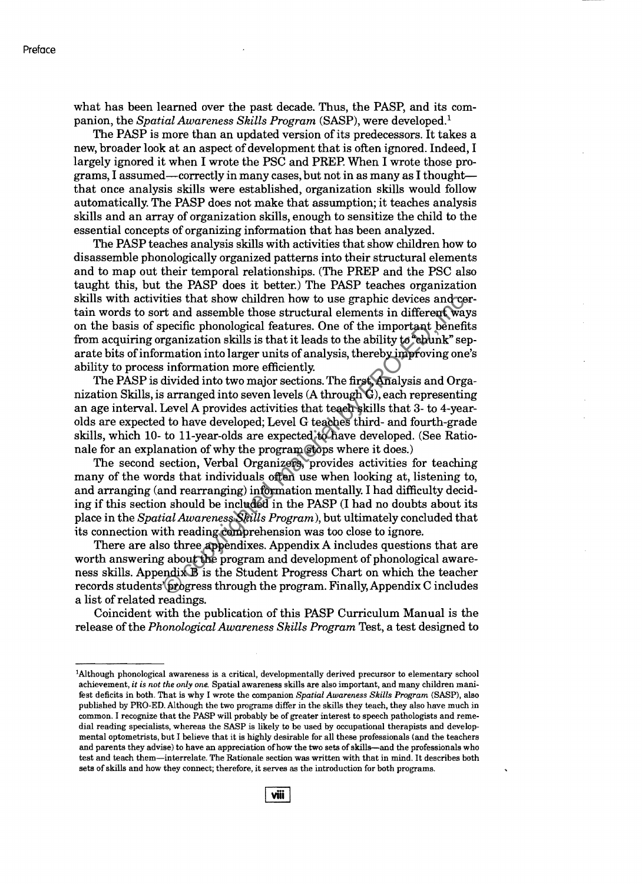what has been learned over the past decade. Thus, the PASP, and its companion, the *Spatial Awareness Skills Program* (SASP), were developed.<sup>1</sup>

The PASP is more than an updated version of its predecessors. It takes a new, broader look at an aspect of development that is often ignored. Indeed, I largely ignored it when I wrote the PSC and PREP. When I wrote those programs, I assumed—correctly in many cases, but not in as many as I thought that once analysis skills were established, organization skills would follow automatically. The PASP does not make that assumption; it teaches analysis skills and an array of organization skills, enough to sensitize the child to the essential concepts of organizing information that has been analyzed.

The PASP teaches analysis skills with activities that show children how to disassemble phonologically organized patterns into their structural elements and to map out their temporal relationships. (The PREP and the PSC also taught this, but the PASP does it better.) The PASP teaches organization skills with activities that show children how to use graphic devices and certain words to sort and assemble those structural elements in different ways on the basis of specific phonological features. One of the important benefits from acquiring organization skills is that it leads to the ability to "chunk" separate bits of information into larger units of analysis, thereby improving one's ability to process information more efficiently.

The PASP is divided into two major sections. The first, Analysis and Organization Skills, is arranged into seven levels (A through G), each representing an age interval. Level A provides activities that teach skills that 3- to 4-yearolds are expected to have developed; Level G teaches third- and fourth-grade skills, which 10- to ll-year-olds are expected to have developed. (See Rationale for an explanation of why the program stops where it does.)

The second section, Verbal Organizers, provides activities for teaching many of the words that individuals often use when looking at, listening to, and arranging (and rearranging) information mentally. I had difficulty deciding ifthis section should be included in the PASP (I had no doubts about its place in the *Spatial Awareness Skills Program),* but ultimately concluded that its connection with reading comprehension was too close to ignore. thes that show children how to use graphic devices and dependent and assemble those structural elements in different way percific phonological features. One of the important benefit regnalization skills is that it leads t

There are also three appendixes. Appendix A includes questions that are worth answering about the program and development of phonological awareness skills. Appendix B is the Student Progress Chart on which the teacher records students' (progress through the program. Finally, Appendix C includes a list of related readings.

Coincident with the publication of this PASP Curriculum Manual is the release of the *Phonological Awareness Skills Program* Test, a test designed to

<sup>&</sup>lt;sup>1</sup>Although phonological awareness is a critical, developmentally derived precursor to elementary school achievement, *it is not the only one.* Spatial awareness skills are also important, and many children manifest deficits in both. That is why I wrote the companion *Spatial Awareness Skills Program* (SASP), also published by PRO-ED. Although the two programs differ in the skills they teach, they also have much in common. I recognize that the PASP will probably be of greater interest to speech pathologists and remedial reading specialists, whereas the SASP is likely to be used by occupational therapists and developmental optometrists, but I believe that it is highly desirable for all these professionals (and the teachers and parents they advise) to have an appreciation of how the two sets of skills—and the professionals who test and teach them-interrelate. The Rationale section was written with that in mind. It describes both sets of skills and how they connect; therefore, it serves as the introduction for both programs.